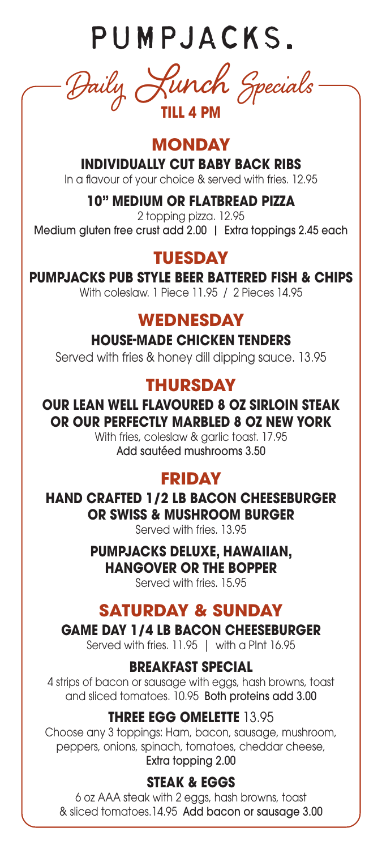PUMPJACKS.

Daily Lunch Specials **TILL 4 PM**

## **MONDAY**

**INDIVIDUALLY CUT BABY BACK RIBS**

In a flavour of your choice & served with fries. 12.95

### **10" MEDIUM OR FLATBREAD PIZZA**

2 topping pizza. 12.95 Medium gluten free crust add 2.00 | Extra toppings 2.45 each

# **TUESDAY**

## **PUMPJACKS PUB STYLE BEER BATTERED FISH & CHIPS**

With coleslaw. 1 Piece 11.95 / 2 Pieces 14.95

## **WEDNESDAY**

**HOUSE-MADE CHICKEN TENDERS**

Served with fries & honey dill dipping sauce. 13.95

# **THURSDAY**

### **OUR LEAN WELL FLAVOURED 8 OZ SIRLOIN STEAK OR OUR PERFECTLY MARBLED 8 OZ NEW YORK**

With fries, coleslaw & garlic toast. 17.95 Add sautéed mushrooms 3.50

# **FRIDAY**

**HAND CRAFTED 1/2 LB BACON CHEESEBURGER OR SWISS & MUSHROOM BURGER**

Served with fries. 13.95

#### **PUMPJACKS DELUXE, HAWAIIAN, HANGOVER OR THE BOPPER**

Served with fries. 15.95

# **SATURDAY & SUNDAY**

### **GAME DAY 1/4 LB BACON CHEESEBURGER**

Served with fries. 11.95 | with a PInt 16.95

### **BREAKFAST SPECIAL**

4 strips of bacon or sausage with eggs, hash browns, toast and sliced tomatoes. 10.95 Both proteins add 3.00

### **THREE EGG OMELETTE** 13.95

Choose any 3 toppings: Ham, bacon, sausage, mushroom, peppers, onions, spinach, tomatoes, cheddar cheese, Extra topping 2.00

### **STEAK & EGGS**

6 oz AAA steak with 2 eggs, hash browns, toast & sliced tomatoes.14.95 Add bacon or sausage 3.00